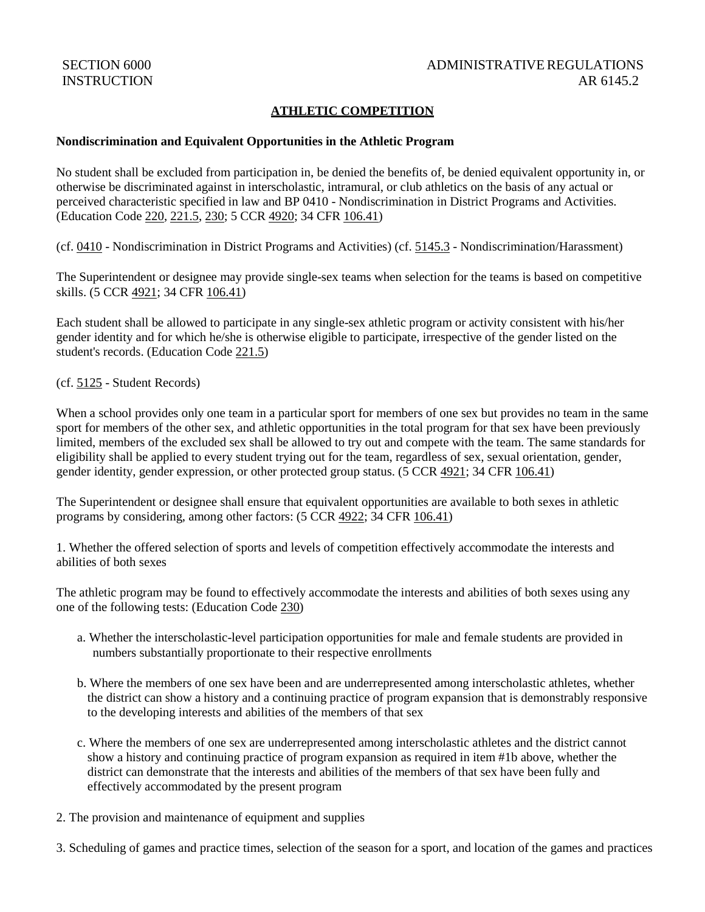# **ATHLETIC COMPETITION**

### **Nondiscrimination and Equivalent Opportunities in the Athletic Program**

No student shall be excluded from participation in, be denied the benefits of, be denied equivalent opportunity in, or otherwise be discriminated against in interscholastic, intramural, or club athletics on the basis of any actual or perceived characteristic specified in law and BP 0410 - Nondiscrimination in District Programs and Activities. (Education Code [220,](http://gamutonline.net/displayPolicy/138763/6) [221.5,](http://gamutonline.net/displayPolicy/935378/6) [230;](http://gamutonline.net/displayPolicy/128867/6) 5 CCR [4920;](http://gamutonline.net/displayPolicy/187048/6) 34 CFR [106.41\)](http://gamutonline.net/displayPolicy/191240/6)

(cf. [0410](http://gamutonline.net/displayPolicy/890898/6) - Nondiscrimination in District Programs and Activities) (cf. [5145.3](http://gamutonline.net/displayPolicy/1056960/6) - Nondiscrimination/Harassment)

The Superintendent or designee may provide single-sex teams when selection for the teams is based on competitive skills. (5 CCR [4921;](http://gamutonline.net/displayPolicy/187049/6) 34 CFR [106.41\)](http://gamutonline.net/displayPolicy/191240/6)

Each student shall be allowed to participate in any single-sex athletic program or activity consistent with his/her gender identity and for which he/she is otherwise eligible to participate, irrespective of the gender listed on the student's records. (Education Code [221.5\)](http://gamutonline.net/displayPolicy/935378/6)

(cf. [5125](http://gamutonline.net/displayPolicy/559084/6) - Student Records)

When a school provides only one team in a particular sport for members of one sex but provides no team in the same sport for members of the other sex, and athletic opportunities in the total program for that sex have been previously limited, members of the excluded sex shall be allowed to try out and compete with the team. The same standards for eligibility shall be applied to every student trying out for the team, regardless of sex, sexual orientation, gender, gender identity, gender expression, or other protected group status. (5 CCR [4921;](http://gamutonline.net/displayPolicy/187049/6) 34 CFR [106.41\)](http://gamutonline.net/displayPolicy/191240/6)

The Superintendent or designee shall ensure that equivalent opportunities are available to both sexes in athletic programs by considering, among other factors: (5 CCR [4922;](http://gamutonline.net/displayPolicy/187050/6) 34 CFR [106.41\)](http://gamutonline.net/displayPolicy/191240/6)

1. Whether the offered selection of sports and levels of competition effectively accommodate the interests and abilities of both sexes

The athletic program may be found to effectively accommodate the interests and abilities of both sexes using any one of the following tests: (Education Code [230\)](http://gamutonline.net/displayPolicy/128867/6)

- a. Whether the interscholastic-level participation opportunities for male and female students are provided in numbers substantially proportionate to their respective enrollments
- b. Where the members of one sex have been and are underrepresented among interscholastic athletes, whether the district can show a history and a continuing practice of program expansion that is demonstrably responsive to the developing interests and abilities of the members of that sex
- c. Where the members of one sex are underrepresented among interscholastic athletes and the district cannot show a history and continuing practice of program expansion as required in item #1b above, whether the district can demonstrate that the interests and abilities of the members of that sex have been fully and effectively accommodated by the present program
- 2. The provision and maintenance of equipment and supplies

3. Scheduling of games and practice times, selection of the season for a sport, and location of the games and practices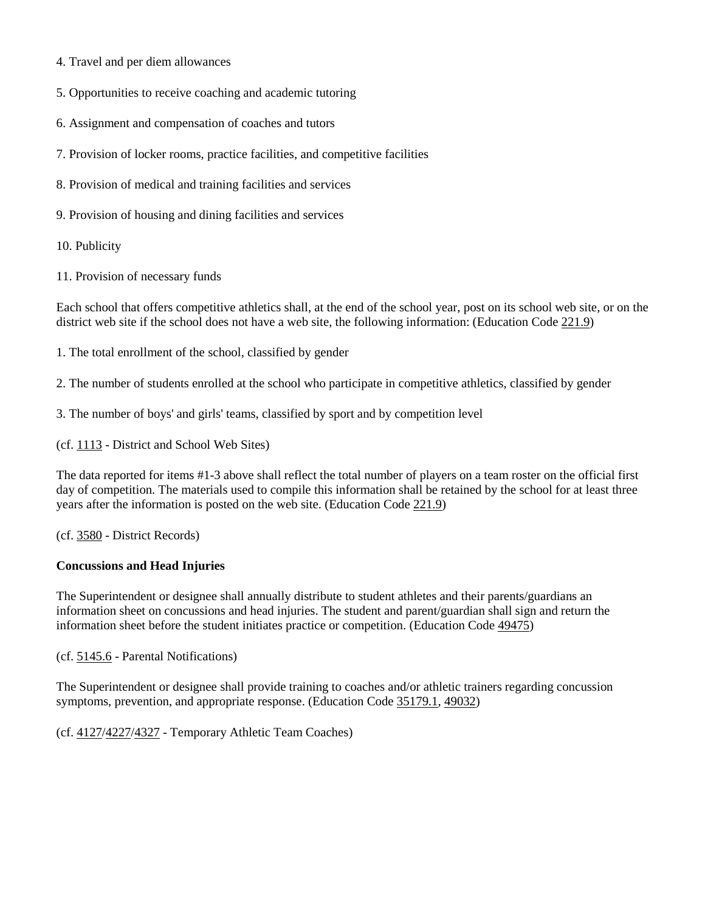- 4. Travel and per diem allowances
- 5. Opportunities to receive coaching and academic tutoring
- 6. Assignment and compensation of coaches and tutors
- 7. Provision of locker rooms, practice facilities, and competitive facilities
- 8. Provision of medical and training facilities and services
- 9. Provision of housing and dining facilities and services
- 10. Publicity
- 11. Provision of necessary funds

Each school that offers competitive athletics shall, at the end of the school year, post on its school web site, or on the district web site if the school does not have a web site, the following information: (Education Code [221.9\)](http://gamutonline.net/displayPolicy/1006994/6)

- 1. The total enrollment of the school, classified by gender
- 2. The number of students enrolled at the school who participate in competitive athletics, classified by gender
- 3. The number of boys' and girls' teams, classified by sport and by competition level

(cf. [1113](http://gamutonline.net/displayPolicy/211084/6) - District and School Web Sites)

The data reported for items #1-3 above shall reflect the total number of players on a team roster on the official first day of competition. The materials used to compile this information shall be retained by the school for at least three years after the information is posted on the web site. (Education Code [221.9\)](http://gamutonline.net/displayPolicy/1006994/6)

(cf. [3580](http://gamutonline.net/displayPolicy/1049427/6) - District Records)

### **Concussions and Head Injuries**

The Superintendent or designee shall annually distribute to student athletes and their parents/guardians an information sheet on concussions and head injuries. The student and parent/guardian shall sign and return the information sheet before the student initiates practice or competition. (Education Code [49475\)](http://gamutonline.net/displayPolicy/1006981/6)

(cf. [5145.6](http://gamutonline.net/displayPolicy/222839/6) - Parental Notifications)

The Superintendent or designee shall provide training to coaches and/or athletic trainers regarding concussion symptoms, prevention, and appropriate response. (Education Code [35179.1,](http://gamutonline.net/displayPolicy/138066/6) [49032\)](http://gamutonline.net/displayPolicy/388039/6)

(cf. [4127/](http://gamutonline.net/displayPolicy/1075000/6)[4227/](http://gamutonline.net/displayPolicy/1075001/6)[4327](http://gamutonline.net/displayPolicy/1075002/6) - Temporary Athletic Team Coaches)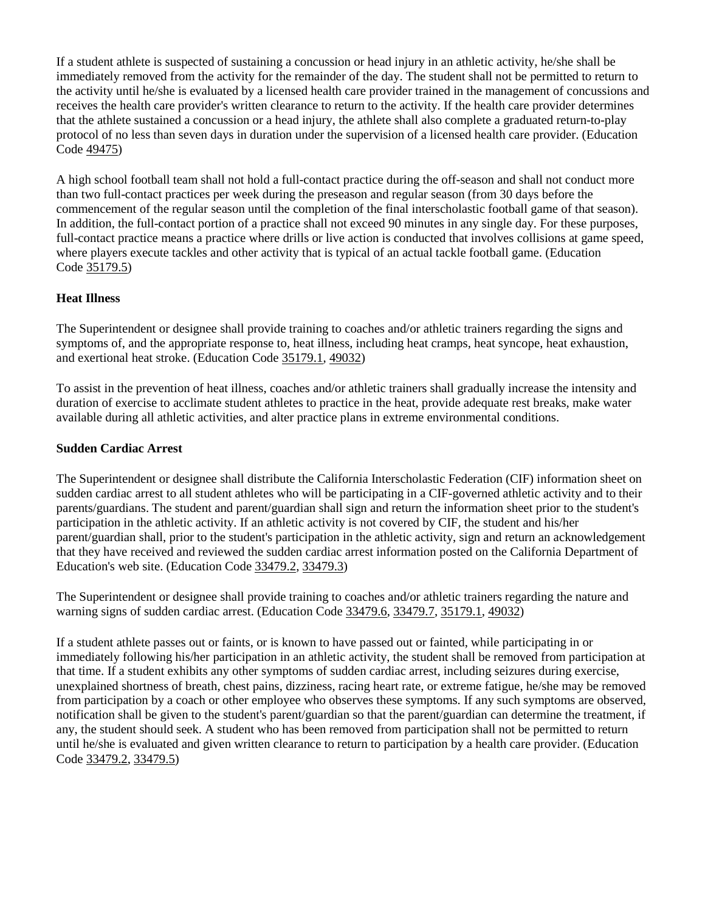If a student athlete is suspected of sustaining a concussion or head injury in an athletic activity, he/she shall be immediately removed from the activity for the remainder of the day. The student shall not be permitted to return to the activity until he/she is evaluated by a licensed health care provider trained in the management of concussions and receives the health care provider's written clearance to return to the activity. If the health care provider determines that the athlete sustained a concussion or a head injury, the athlete shall also complete a graduated return-to-play protocol of no less than seven days in duration under the supervision of a licensed health care provider. (Education Code [49475\)](http://gamutonline.net/displayPolicy/1006981/6)

A high school football team shall not hold a full-contact practice during the off-season and shall not conduct more than two full-contact practices per week during the preseason and regular season (from 30 days before the commencement of the regular season until the completion of the final interscholastic football game of that season). In addition, the full-contact portion of a practice shall not exceed 90 minutes in any single day. For these purposes, full-contact practice means a practice where drills or live action is conducted that involves collisions at game speed, where players execute tackles and other activity that is typical of an actual tackle football game. (Education Code [35179.5\)](http://gamutonline.net/displayPolicy/1006980/6)

# **Heat Illness**

The Superintendent or designee shall provide training to coaches and/or athletic trainers regarding the signs and symptoms of, and the appropriate response to, heat illness, including heat cramps, heat syncope, heat exhaustion, and exertional heat stroke. (Education Code [35179.1,](http://gamutonline.net/displayPolicy/138066/6) [49032\)](http://gamutonline.net/displayPolicy/388039/6)

To assist in the prevention of heat illness, coaches and/or athletic trainers shall gradually increase the intensity and duration of exercise to acclimate student athletes to practice in the heat, provide adequate rest breaks, make water available during all athletic activities, and alter practice plans in extreme environmental conditions.

### **Sudden Cardiac Arrest**

The Superintendent or designee shall distribute the California Interscholastic Federation (CIF) information sheet on sudden cardiac arrest to all student athletes who will be participating in a CIF-governed athletic activity and to their parents/guardians. The student and parent/guardian shall sign and return the information sheet prior to the student's participation in the athletic activity. If an athletic activity is not covered by CIF, the student and his/her parent/guardian shall, prior to the student's participation in the athletic activity, sign and return an acknowledgement that they have received and reviewed the sudden cardiac arrest information posted on the California Department of Education's web site. (Education Code [33479.2,](http://gamutonline.net/displayPolicy/1076883/6) [33479.3\)](http://gamutonline.net/displayPolicy/1076884/6)

The Superintendent or designee shall provide training to coaches and/or athletic trainers regarding the nature and warning signs of sudden cardiac arrest. (Education Code [33479.6,](http://gamutonline.net/displayPolicy/1076887/6) [33479.7,](http://gamutonline.net/displayPolicy/1076888/6) [35179.1,](http://gamutonline.net/displayPolicy/138066/6) [49032\)](http://gamutonline.net/displayPolicy/388039/6)

If a student athlete passes out or faints, or is known to have passed out or fainted, while participating in or immediately following his/her participation in an athletic activity, the student shall be removed from participation at that time. If a student exhibits any other symptoms of sudden cardiac arrest, including seizures during exercise, unexplained shortness of breath, chest pains, dizziness, racing heart rate, or extreme fatigue, he/she may be removed from participation by a coach or other employee who observes these symptoms. If any such symptoms are observed, notification shall be given to the student's parent/guardian so that the parent/guardian can determine the treatment, if any, the student should seek. A student who has been removed from participation shall not be permitted to return until he/she is evaluated and given written clearance to return to participation by a health care provider. (Education Code [33479.2,](http://gamutonline.net/displayPolicy/1076883/6) [33479.5\)](http://gamutonline.net/displayPolicy/1076886/6)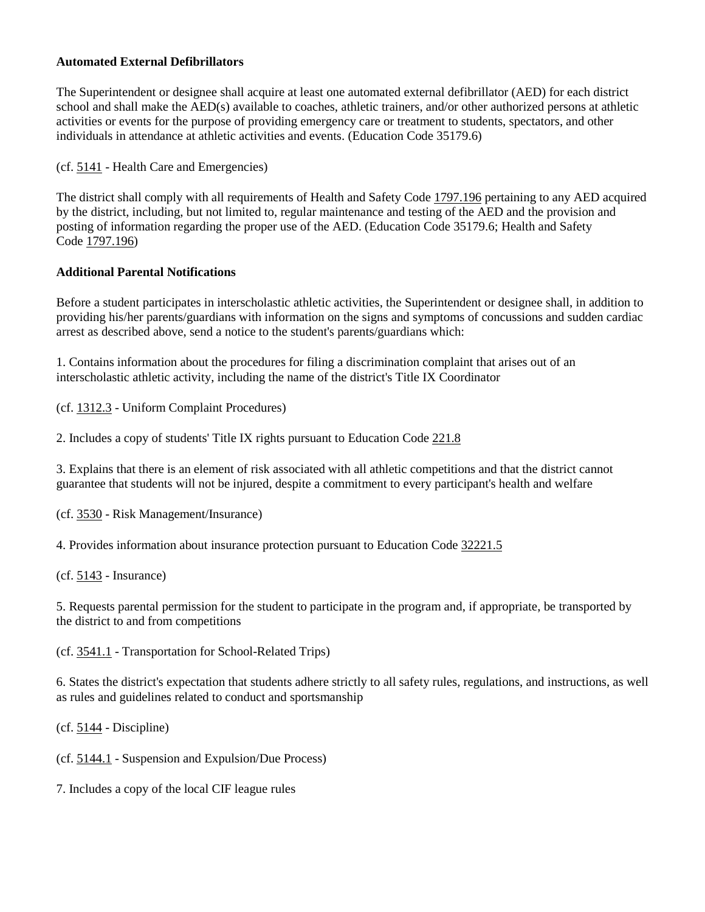### **Automated External Defibrillators**

The Superintendent or designee shall acquire at least one automated external defibrillator (AED) for each district school and shall make the AED(s) available to coaches, athletic trainers, and/or other authorized persons at athletic activities or events for the purpose of providing emergency care or treatment to students, spectators, and other individuals in attendance at athletic activities and events. (Education Code 35179.6)

(cf. [5141](http://gamutonline.net/displayPolicy/171176/6) - Health Care and Emergencies)

The district shall comply with all requirements of Health and Safety Code [1797.196](http://gamutonline.net/displayPolicy/369680/6) pertaining to any AED acquired by the district, including, but not limited to, regular maintenance and testing of the AED and the provision and posting of information regarding the proper use of the AED. (Education Code 35179.6; Health and Safety Code [1797.196\)](http://gamutonline.net/displayPolicy/369680/6)

### **Additional Parental Notifications**

Before a student participates in interscholastic athletic activities, the Superintendent or designee shall, in addition to providing his/her parents/guardians with information on the signs and symptoms of concussions and sudden cardiac arrest as described above, send a notice to the student's parents/guardians which:

1. Contains information about the procedures for filing a discrimination complaint that arises out of an interscholastic athletic activity, including the name of the district's Title IX Coordinator

(cf. [1312.3](http://gamutonline.net/displayPolicy/1074993/6) - Uniform Complaint Procedures)

2. Includes a copy of students' Title IX rights pursuant to Education Code [221.8](http://gamutonline.net/displayPolicy/1015911/6)

3. Explains that there is an element of risk associated with all athletic competitions and that the district cannot guarantee that students will not be injured, despite a commitment to every participant's health and welfare

(cf. [3530](http://gamutonline.net/displayPolicy/170705/6) - Risk Management/Insurance)

4. Provides information about insurance protection pursuant to Education Code [32221.5](http://gamutonline.net/displayPolicy/420804/6)

(cf. [5143](http://gamutonline.net/displayPolicy/222837/6) - Insurance)

5. Requests parental permission for the student to participate in the program and, if appropriate, be transported by the district to and from competitions

(cf. [3541.1](http://gamutonline.net/displayPolicy/352644/6) - Transportation for School-Related Trips)

6. States the district's expectation that students adhere strictly to all safety rules, regulations, and instructions, as well as rules and guidelines related to conduct and sportsmanship

(cf. [5144](http://gamutonline.net/displayPolicy/909486/6) - Discipline)

(cf. [5144.1](http://gamutonline.net/displayPolicy/909488/6) - Suspension and Expulsion/Due Process)

7. Includes a copy of the local CIF league rules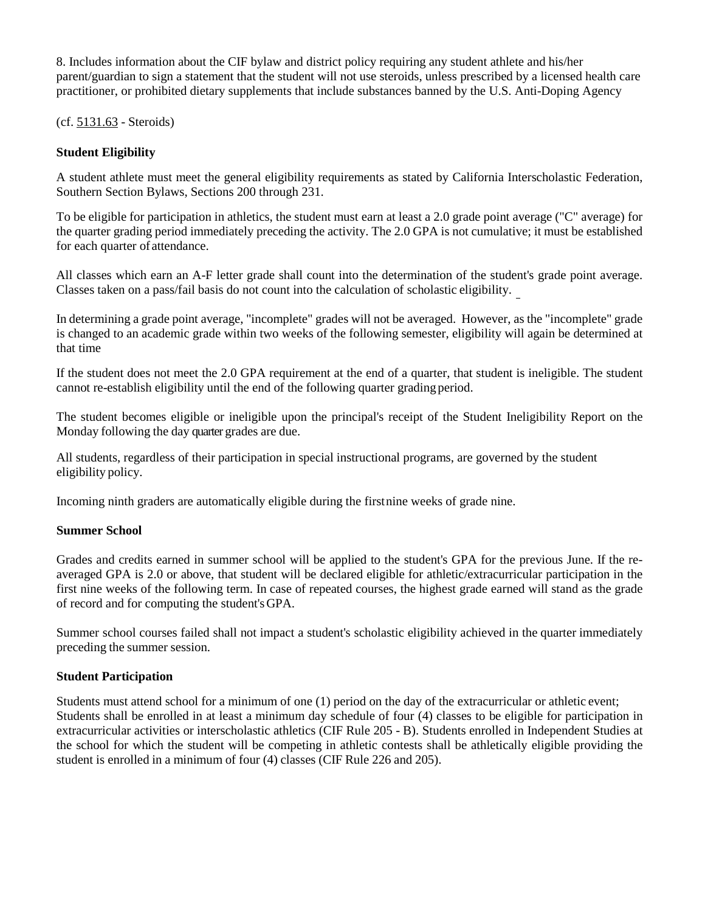8. Includes information about the CIF bylaw and district policy requiring any student athlete and his/her parent/guardian to sign a statement that the student will not use steroids, unless prescribed by a licensed health care practitioner, or prohibited dietary supplements that include substances banned by the U.S. Anti-Doping Agency

(cf. [5131.63](http://gamutonline.net/displayPolicy/171232/6) - Steroids)

## **Student Eligibility**

A student athlete must meet the general eligibility requirements as stated by California Interscholastic Federation, Southern Section Bylaws, Sections 200 through 231.

To be eligible for participation in athletics, the student must earn at least a 2.0 grade point average ("C" average) for the quarter grading period immediately preceding the activity. The 2.0 GPA is not cumulative; it must be established for each quarter of attendance.

All classes which earn an A-F letter grade shall count into the determination of the student's grade point average. Classes taken on a pass/fail basis do not count into the calculation of scholastic eligibility.

In determining a grade point average, "incomplete" grades will not be averaged. However, as the "incomplete" grade is changed to an academic grade within two weeks of the following semester, eligibility will again be determined at that time

If the student does not meet the 2.0 GPA requirement at the end of a quarter, that student is ineligible. The student cannot re-establish eligibility until the end of the following quarter grading period.

The student becomes eligible or ineligible upon the principal's receipt of the Student Ineligibility Report on the Monday following the day quarter grades are due.

All students, regardless of their participation in special instructional programs, are governed by the student eligibility policy.

Incoming ninth graders are automatically eligible during the firstnine weeks of grade nine.

### **Summer School**

Grades and credits earned in summer school will be applied to the student's GPA for the previous June. If the reaveraged GPA is 2.0 or above, that student will be declared eligible for athletic/extracurricular participation in the first nine weeks of the following term. In case of repeated courses, the highest grade earned will stand as the grade of record and for computing the student'sGPA.

Summer school courses failed shall not impact a student's scholastic eligibility achieved in the quarter immediately preceding the summer session.

### **Student Participation**

Students must attend school for a minimum of one (1) period on the day of the extracurricular or athletic event; Students shall be enrolled in at least a minimum day schedule of four (4) classes to be eligible for participation in extracurricular activities or interscholastic athletics (CIF Rule 205 - B). Students enrolled in Independent Studies at the school for which the student will be competing in athletic contests shall be athletically eligible providing the student is enrolled in a minimum of four (4) classes (CIF Rule 226 and 205).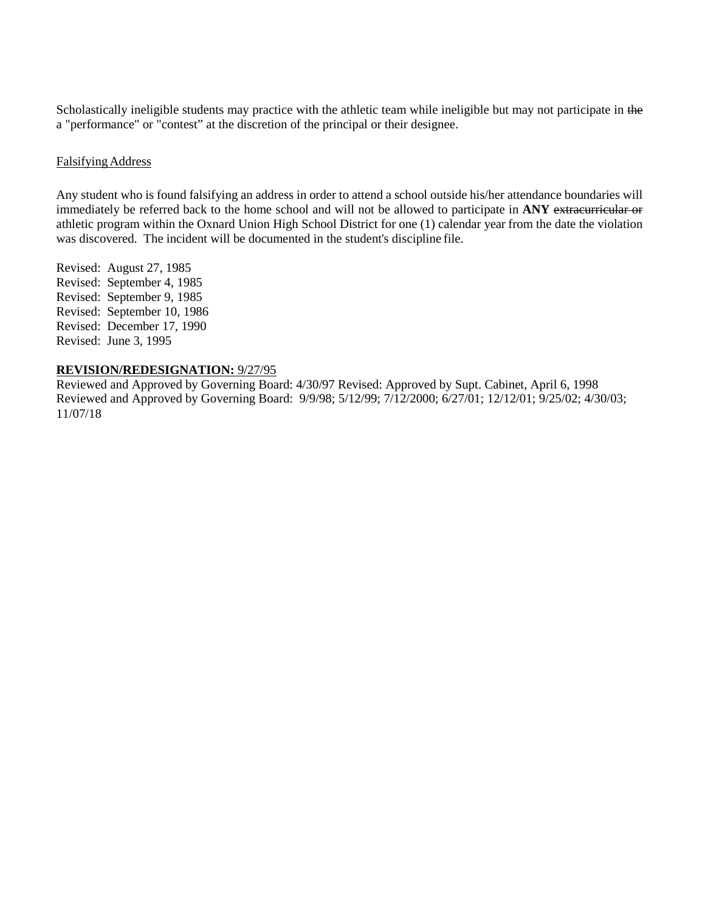Scholastically ineligible students may practice with the athletic team while ineligible but may not participate in the a "performance" or "contest" at the discretion of the principal or their designee.

#### Falsifying Address

Any student who is found falsifying an address in order to attend a school outside his/her attendance boundaries will immediately be referred back to the home school and will not be allowed to participate in **ANY** extracurricular or athletic program within the Oxnard Union High School District for one (1) calendar year from the date the violation was discovered. The incident will be documented in the student's discipline file.

Revised: August 27, 1985 Revised: September 4, 1985 Revised: September 9, 1985 Revised: September 10, 1986 Revised: December 17, 1990 Revised: June 3, 1995

### **REVISION/REDESIGNATION:** 9/27/95

Reviewed and Approved by Governing Board: 4/30/97 Revised: Approved by Supt. Cabinet, April 6, 1998 Reviewed and Approved by Governing Board: 9/9/98; 5/12/99; 7/12/2000; 6/27/01; 12/12/01; 9/25/02; 4/30/03; 11/07/18